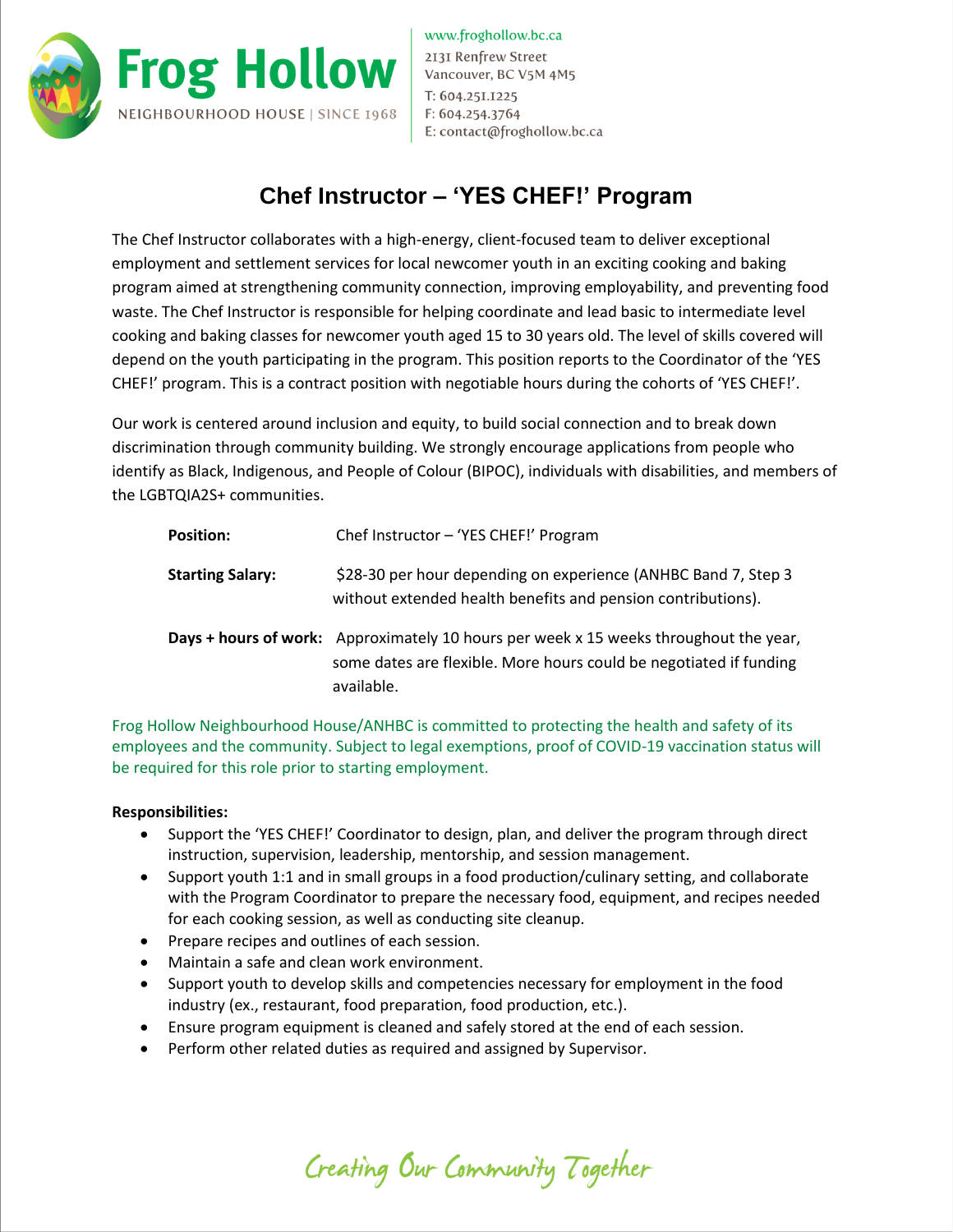

www.froghollow.bc.ca 2131 Renfrew Street Vancouver, BC V5M 4M5 T: 604.25I.I225  $F: 604.254.3764$ E: contact@froghollow.bc.ca

## **Chef Instructor – 'YES CHEF!' Program**

The Chef Instructor collaborates with a high-energy, client-focused team to deliver exceptional employment and settlement services for local newcomer youth in an exciting cooking and baking program aimed at strengthening community connection, improving employability, and preventing food waste. The Chef Instructor is responsible for helping coordinate and lead basic to intermediate level cooking and baking classes for newcomer youth aged 15 to 30 years old. The level of skills covered will depend on the youth participating in the program. This position reports to the Coordinator of the 'YES CHEF!' program. This is a contract position with negotiable hours during the cohorts of 'YES CHEF!'.

Our work is centered around inclusion and equity, to build social connection and to break down discrimination through community building. We strongly encourage applications from people who identify as Black, Indigenous, and People of Colour (BIPOC), individuals with disabilities, and members of the LGBTQIA2S+ communities.

| <b>Position:</b>        | Chef Instructor - 'YES CHEF!' Program                                                                                                                                     |
|-------------------------|---------------------------------------------------------------------------------------------------------------------------------------------------------------------------|
| <b>Starting Salary:</b> | \$28-30 per hour depending on experience (ANHBC Band 7, Step 3<br>without extended health benefits and pension contributions).                                            |
|                         | Days + hours of work: Approximately 10 hours per week x 15 weeks throughout the year,<br>some dates are flexible. More hours could be negotiated if funding<br>available. |

Frog Hollow Neighbourhood House/ANHBC is committed to protecting the health and safety of its employees and the community. Subject to legal exemptions, proof of COVID-19 vaccination status will be required for this role prior to starting employment.

## **Responsibilities:**

- Support the 'YES CHEF!' Coordinator to design, plan, and deliver the program through direct instruction, supervision, leadership, mentorship, and session management.
- Support youth 1:1 and in small groups in a food production/culinary setting, and collaborate with the Program Coordinator to prepare the necessary food, equipment, and recipes needed for each cooking session, as well as conducting site cleanup.
- Prepare recipes and outlines of each session.
- Maintain a safe and clean work environment.
- Support youth to develop skills and competencies necessary for employment in the food industry (ex., restaurant, food preparation, food production, etc.).
- Ensure program equipment is cleaned and safely stored at the end of each session.
- Perform other related duties as required and assigned by Supervisor.

Creating Our Community Together